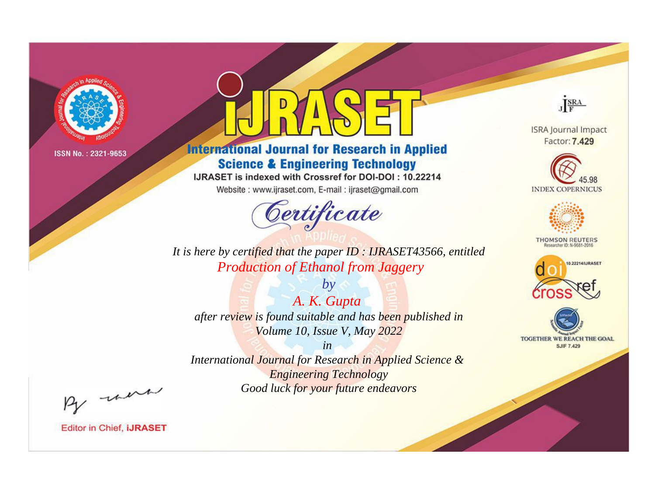

# **International Journal for Research in Applied Science & Engineering Technology**

IJRASET is indexed with Crossref for DOI-DOI: 10.22214

Website: www.ijraset.com, E-mail: ijraset@gmail.com



JERA

**ISRA Journal Impact** Factor: 7.429





**THOMSON REUTERS** 



TOGETHER WE REACH THE GOAL **SJIF 7.429** 

*It is here by certified that the paper ID : IJRASET43566, entitled Production of Ethanol from Jaggery*

*by A. K. Gupta after review is found suitable and has been published in Volume 10, Issue V, May 2022*

*in* 

*International Journal for Research in Applied Science & Engineering Technology Good luck for your future endeavors*

By morn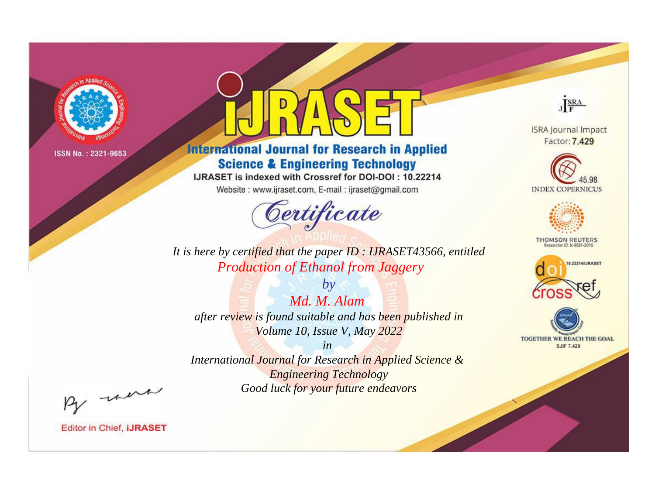

# **International Journal for Research in Applied Science & Engineering Technology**

IJRASET is indexed with Crossref for DOI-DOI: 10.22214

Website: www.ijraset.com, E-mail: ijraset@gmail.com



JERA

**ISRA Journal Impact** Factor: 7.429





**THOMSON REUTERS** 



TOGETHER WE REACH THE GOAL **SJIF 7.429** 

*It is here by certified that the paper ID : IJRASET43566, entitled Production of Ethanol from Jaggery*

*by Md. M. Alam after review is found suitable and has been published in Volume 10, Issue V, May 2022*

*in* 

*International Journal for Research in Applied Science & Engineering Technology Good luck for your future endeavors*

By morn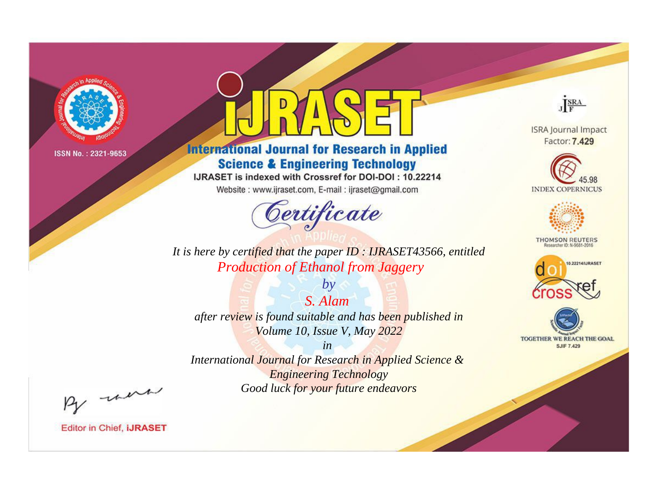

# **International Journal for Research in Applied Science & Engineering Technology**

IJRASET is indexed with Crossref for DOI-DOI: 10.22214

Website: www.ijraset.com, E-mail: ijraset@gmail.com



JERA

**ISRA Journal Impact** Factor: 7.429





**THOMSON REUTERS** 



TOGETHER WE REACH THE GOAL **SJIF 7.429** 

*It is here by certified that the paper ID : IJRASET43566, entitled Production of Ethanol from Jaggery*

*by S. Alam after review is found suitable and has been published in Volume 10, Issue V, May 2022*

*in* 

*International Journal for Research in Applied Science & Engineering Technology Good luck for your future endeavors*

By morn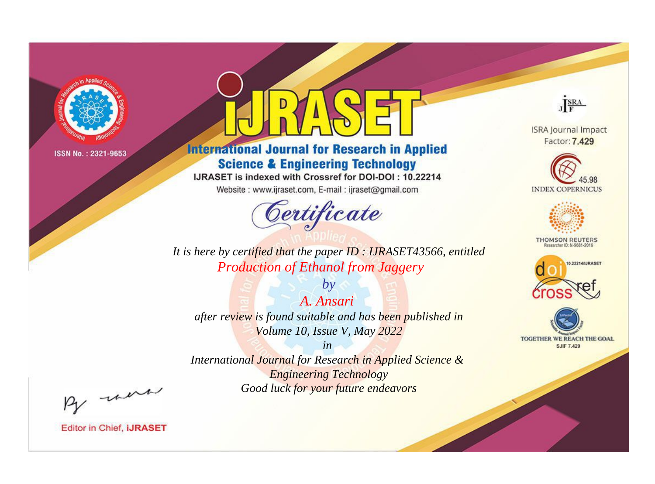

# **International Journal for Research in Applied Science & Engineering Technology**

IJRASET is indexed with Crossref for DOI-DOI: 10.22214

Website: www.ijraset.com, E-mail: ijraset@gmail.com



JERA

**ISRA Journal Impact** Factor: 7.429





**THOMSON REUTERS** 



TOGETHER WE REACH THE GOAL **SJIF 7.429** 

*It is here by certified that the paper ID : IJRASET43566, entitled Production of Ethanol from Jaggery*

*A. Ansari after review is found suitable and has been published in Volume 10, Issue V, May 2022*

*by*

*in* 

*International Journal for Research in Applied Science & Engineering Technology Good luck for your future endeavors*

By morn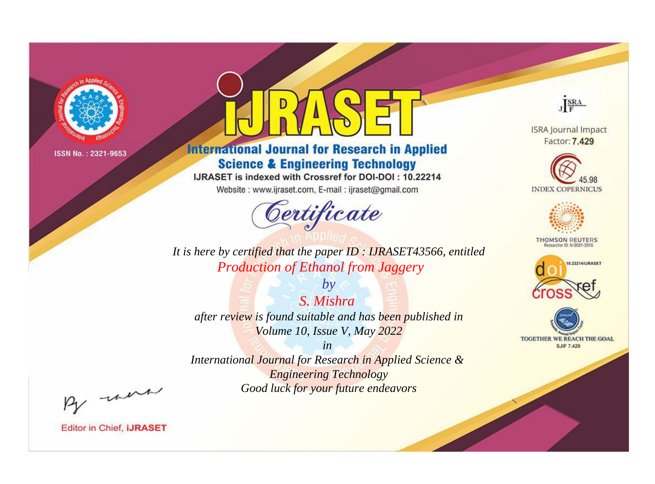

# **International Journal for Research in Applied Science & Engineering Technology**

IJRASET is indexed with Crossref for DOI-DOI: 10.22214

Website: www.ijraset.com, E-mail: ijraset@gmail.com



JERA

**ISRA Journal Impact** Factor: 7.429





**THOMSON REUTERS** 



TOGETHER WE REACH THE GOAL **SJIF 7.429** 

*It is here by certified that the paper ID : IJRASET43566, entitled Production of Ethanol from Jaggery*

*S. Mishra after review is found suitable and has been published in Volume 10, Issue V, May 2022*

*by*

*in* 

*International Journal for Research in Applied Science & Engineering Technology Good luck for your future endeavors*

By morn